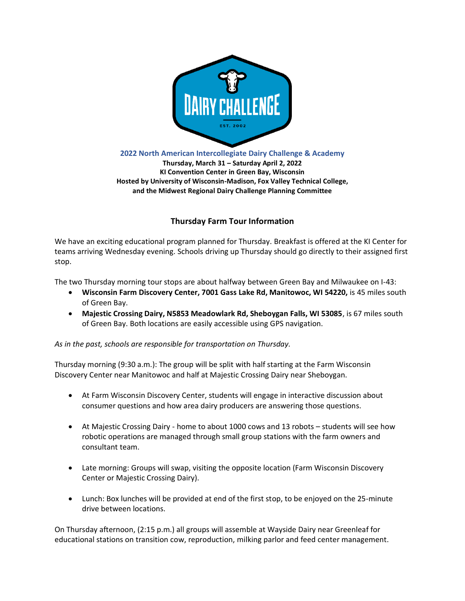

**2022 North American Intercollegiate Dairy Challenge & Academy**

**Thursday, March 31 – Saturday April 2, 2022 KI Convention Center in Green Bay, Wisconsin Hosted by University of Wisconsin-Madison, Fox Valley Technical College, and the Midwest Regional Dairy Challenge Planning Committee**

## **Thursday Farm Tour Information**

We have an exciting educational program planned for Thursday. Breakfast is offered at the KI Center for teams arriving Wednesday evening. Schools driving up Thursday should go directly to their assigned first stop.

The two Thursday morning tour stops are about halfway between Green Bay and Milwaukee on I-43:

- **Wisconsin Farm Discovery Center, 7001 Gass Lake Rd, Manitowoc, WI 54220,** is 45 miles south of Green Bay.
- **Majestic Crossing Dairy, N5853 Meadowlark Rd, Sheboygan Falls, WI 53085**, is 67 miles south of Green Bay. Both locations are easily accessible using GPS navigation.

*As in the past, schools are responsible for transportation on Thursday.* 

Thursday morning (9:30 a.m.): The group will be split with half starting at the Farm Wisconsin Discovery Center near Manitowoc and half at Majestic Crossing Dairy near Sheboygan.

- At Farm Wisconsin Discovery Center, students will engage in interactive discussion about consumer questions and how area dairy producers are answering those questions.
- At Majestic Crossing Dairy home to about 1000 cows and 13 robots students will see how robotic operations are managed through small group stations with the farm owners and consultant team.
- Late morning: Groups will swap, visiting the opposite location (Farm Wisconsin Discovery Center or Majestic Crossing Dairy).
- Lunch: Box lunches will be provided at end of the first stop, to be enjoyed on the 25-minute drive between locations.

On Thursday afternoon, (2:15 p.m.) all groups will assemble at Wayside Dairy near Greenleaf for educational stations on transition cow, reproduction, milking parlor and feed center management.